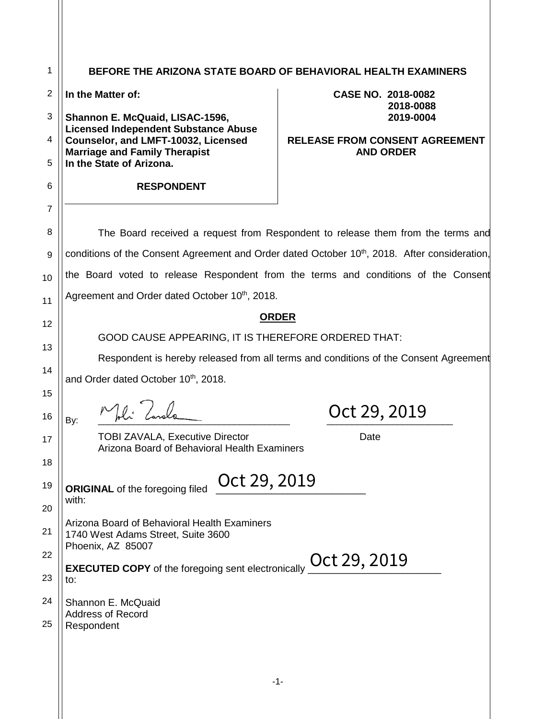| 1              | BEFORE THE ARIZONA STATE BOARD OF BEHAVIORAL HEALTH EXAMINERS                          |                                                                                                           |  |
|----------------|----------------------------------------------------------------------------------------|-----------------------------------------------------------------------------------------------------------|--|
| $\overline{2}$ | In the Matter of:                                                                      | CASE NO. 2018-0082                                                                                        |  |
| 3              | Shannon E. McQuaid, LISAC-1596,                                                        | 2018-0088<br>2019-0004                                                                                    |  |
| 4              | <b>Licensed Independent Substance Abuse</b><br>Counselor, and LMFT-10032, Licensed     | <b>RELEASE FROM CONSENT AGREEMENT</b>                                                                     |  |
| 5              | <b>Marriage and Family Therapist</b><br>In the State of Arizona.                       | <b>AND ORDER</b>                                                                                          |  |
| 6              | <b>RESPONDENT</b>                                                                      |                                                                                                           |  |
| $\overline{7}$ |                                                                                        |                                                                                                           |  |
| 8              |                                                                                        | The Board received a request from Respondent to release them from the terms and                           |  |
| 9              |                                                                                        | conditions of the Consent Agreement and Order dated October 10 <sup>th</sup> , 2018. After consideration, |  |
| 10             |                                                                                        | the Board voted to release Respondent from the terms and conditions of the Consent                        |  |
| 11             | Agreement and Order dated October 10 <sup>th</sup> , 2018.                             |                                                                                                           |  |
| 12             |                                                                                        | <b>ORDER</b>                                                                                              |  |
| 13             | GOOD CAUSE APPEARING, IT IS THEREFORE ORDERED THAT:                                    |                                                                                                           |  |
| 14             | Respondent is hereby released from all terms and conditions of the Consent Agreement   |                                                                                                           |  |
| 15             | and Order dated October 10th, 2018.                                                    |                                                                                                           |  |
| 16             | By:                                                                                    | Oct 29, 2019                                                                                              |  |
| 17             | <b>TOBI ZAVALA, Executive Director</b><br>Arizona Board of Behavioral Health Examiners | Date                                                                                                      |  |
| 18             |                                                                                        |                                                                                                           |  |
| 19             | Oct 29, 2019<br><b>ORIGINAL</b> of the foregoing filed<br>with:                        |                                                                                                           |  |
| 20             |                                                                                        |                                                                                                           |  |
| 21             | Arizona Board of Behavioral Health Examiners<br>1740 West Adams Street, Suite 3600     |                                                                                                           |  |
| 22             | Phoenix, AZ 85007<br>Oct 29, 2019                                                      |                                                                                                           |  |
| 23             | <b>EXECUTED COPY</b> of the foregoing sent electronically<br>to:                       |                                                                                                           |  |
| 24             | Shannon E. McQuaid<br><b>Address of Record</b><br>Respondent                           |                                                                                                           |  |
| 25             |                                                                                        |                                                                                                           |  |
|                |                                                                                        |                                                                                                           |  |
|                |                                                                                        |                                                                                                           |  |
|                |                                                                                        | $-1-$                                                                                                     |  |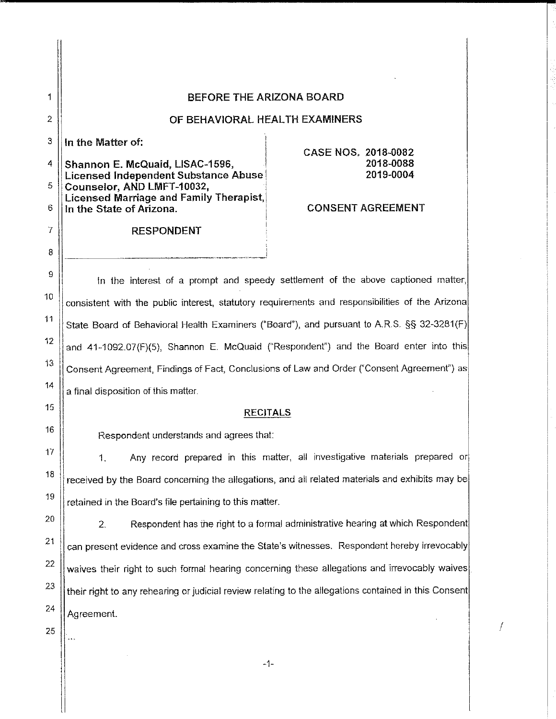|  | BEFORE THE ARIZONA BOARD |  |
|--|--------------------------|--|
|  |                          |  |

# OF BEHAVIORAL HEALTH EXAMINERS

In the Matter of:

 $\mathbf{1}$ 

 $\overline{2}$ 

3

 $\overline{7}$ 

8

9

 $10$ 

11

 $12$ 

 $13$ 

 $14$ 

15

16

17

18

19

20

21

22

23

24

4 Shannon E. McQuaid, LISAC-1596, Licensed Independent Substance Abuse Counselor, AND LMFT-10032, 5 Licensed Marriage and Family Therapist. 6 In the State of Arizona.

## **RESPONDENT**

**CASE NOS, 2018-0082** 2018-0088 2019-0004

## **CONSENT AGREEMENT**

f

In the interest of a prompt and speedy settlement of the above captioned matter, consistent with the public interest, statutory requirements and responsibilities of the Arizona State Board of Behavioral Health Examiners ("Board"), and pursuant to A.R.S. §§ 32-3281(F) and 41-1092.07(F)(5). Shannon E. McQuaid ("Respondent") and the Board enter into this Consent Agreement, Findings of Fact, Conclusions of Law and Order ("Consent Agreement") as a final disposition of this matter.

### **RECITALS**

Respondent understands and agrees that:

Any record prepared in this matter, all investigative materials prepared or  $\mathbf{1}$ . received by the Board concerning the allegations, and all related materials and exhibits may be retained in the Board's file pertaining to this matter.

 $2.$ Respondent has the right to a formal administrative hearing at which Respondent can present evidence and cross examine the State's witnesses. Respondent hereby irrevocably waives their right to such formal hearing concerning these allegations and irrevocably waives their right to any rehearing or judicial review relating to the allegations contained in this Consent Agreement.

 $-1-$ 

25

 $\overline{\phantom{a}}$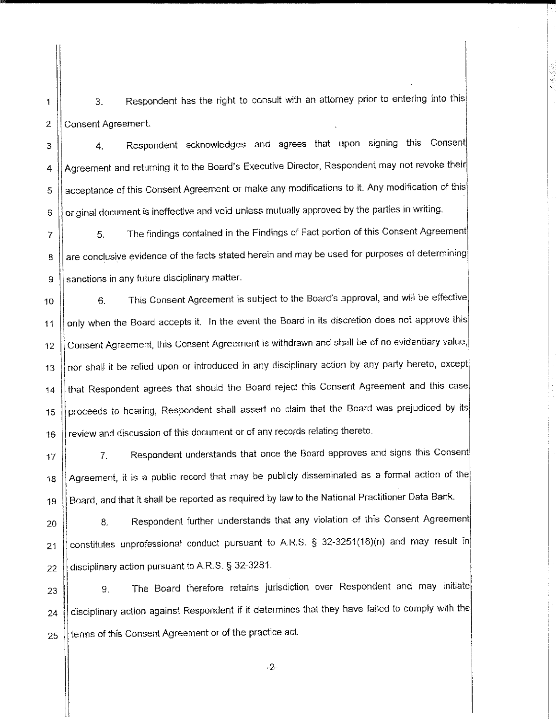Respondent has the right to consult with an attorney prior to entering into this 3. Consent Agreement. 2

 $\mathbf{1}$ 

Respondent acknowledges and agrees that upon signing this Consent  $\overline{4}$ . 3 Agreement and returning it to the Board's Executive Director, Respondent may not revoke their 4 acceptance of this Consent Agreement or make any modifications to it. Any modification of this 5 original document is ineffective and void unless mutually approved by the parties in writing. 6

The findings contained in the Findings of Fact portion of this Consent Agreement  $\overline{7}$ 5. are conclusive evidence of the facts stated herein and may be used for purposes of determining 8 sanctions in any future disciplinary matter. 9

This Consent Agreement is subject to the Board's approval, and will be effective  $6.$ 10 only when the Board accepts it. In the event the Board in its discretion does not approve this  $11$ Consent Agreement, this Consent Agreement is withdrawn and shall be of no evidentiary value,  $12$ nor shall it be relied upon or introduced in any disciplinary action by any party hereto, except 13 that Respondent agrees that should the Board reject this Consent Agreement and this case  $14$ proceeds to hearing, Respondent shall assert no claim that the Board was prejudiced by its 15 review and discussion of this document or of any records relating thereto. 16

Respondent understands that once the Board approves and signs this Consent  $7<sub>1</sub>$  $17$ Agreement, it is a public record that may be publicly disseminated as a formal action of the 18 Board, and that it shall be reported as required by law to the National Practitioner Data Bank. 19

Respondent further understands that any violation of this Consent Agreement 8. 20 constitutes unprofessional conduct pursuant to A.R.S. § 32-3251(16)(n) and may result in  $21$ disciplinary action pursuant to A.R.S. § 32-3281. 22

The Board therefore retains jurisdiction over Respondent and may initiate 9. 23 disciplinary action against Respondent if it determines that they have failed to comply with the 24 terms of this Consent Agreement or of the practice act. 25

 $-2-$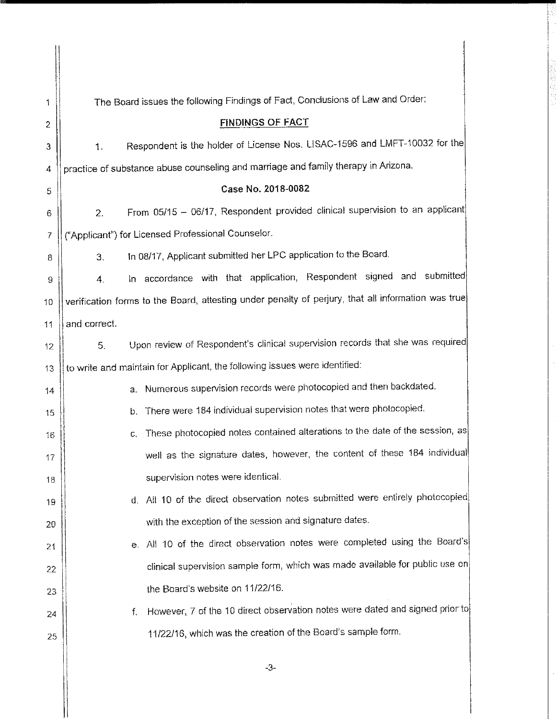| 1  | The Board issues the following Findings of Fact, Conclusions of Law and Order:                     |
|----|----------------------------------------------------------------------------------------------------|
| 2  | <b>FINDINGS OF FACT</b>                                                                            |
| 3  | Respondent is the holder of License Nos. LISAC-1596 and LMFT-10032 for the<br>1.                   |
| 4  | practice of substance abuse counseling and marriage and family therapy in Arizona.                 |
| 5  | Case No. 2018-0082                                                                                 |
| 6  | From 05/15 - 06/17, Respondent provided clinical supervision to an applicant<br>2.                 |
| 7  | ("Applicant") for Licensed Professional Counselor.                                                 |
| 8  | In 08/17, Applicant submitted her LPC application to the Board.<br>3.                              |
| 9  | In accordance with that application, Respondent signed and submitted<br>4.                         |
| 10 | verification forms to the Board, attesting under penalty of perjury, that all information was true |
| 11 | and correct.                                                                                       |
| 12 | Upon review of Respondent's clinical supervision records that she was required<br>5.               |
| 13 | to write and maintain for Applicant, the following issues were identified:                         |
| 14 | Numerous supervision records were photocopied and then backdated.<br>a.                            |
| 15 | There were 184 individual supervision notes that were photocopied.<br>b.                           |
| 16 | These photocopied notes contained alterations to the date of the session, as<br>С.                 |
| 17 | well as the signature dates, however, the content of these 184 individual                          |
| 18 | supervision notes were identical.                                                                  |
| 19 | d. All 10 of the direct observation notes submitted were entirely photocopied                      |
| 20 | with the exception of the session and signature dates.                                             |
| 21 | All 10 of the direct observation notes were completed using the Board's<br>e. I                    |
| 22 | clinical supervision sample form, which was made available for public use on                       |
| 23 | the Board's website on 11/22/16.                                                                   |
| 24 | However, 7 of the 10 direct observation notes were dated and signed prior to<br>f.                 |
| 25 | 11/22/16, which was the creation of the Board's sample form.                                       |
|    |                                                                                                    |

 $-3-$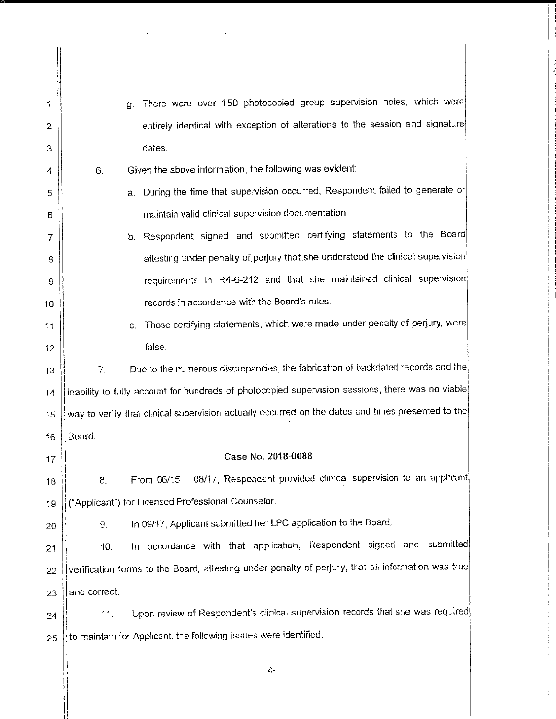| 1              | а.                                                                                                 | There were over 150 photocopied group supervision notes, which were                              |
|----------------|----------------------------------------------------------------------------------------------------|--------------------------------------------------------------------------------------------------|
| $\overline{2}$ |                                                                                                    | entirely identical with exception of alterations to the session and signature                    |
| З              |                                                                                                    | dates.                                                                                           |
| 4              | 6.                                                                                                 | Given the above information, the following was evident:                                          |
| 5              | a.                                                                                                 | During the time that supervision occurred, Respondent failed to generate or                      |
| 6              |                                                                                                    | maintain valid clinical supervision documentation.                                               |
| 7              |                                                                                                    | b. Respondent signed and submitted certifying statements to the Board                            |
| 8              |                                                                                                    | attesting under penalty of perjury that she understood the clinical supervision                  |
| 9              |                                                                                                    | requirements in R4-6-212 and that she maintained clinical supervision                            |
| 10             |                                                                                                    | records in accordance with the Board's rules.                                                    |
| 11             | C.                                                                                                 | Those certifying statements, which were made under penalty of perjury, were                      |
| 12             |                                                                                                    | false.                                                                                           |
| 13             | 7.                                                                                                 | Due to the numerous discrepancies, the fabrication of backdated records and the                  |
| 14             |                                                                                                    | inability to fully account for hundreds of photocopied supervision sessions, there was no viable |
| 15             | way to verify that clinical supervision actually occurred on the dates and times presented to the  |                                                                                                  |
| 16             | Board.                                                                                             |                                                                                                  |
| 17             |                                                                                                    | Case No. 2018-0088                                                                               |
| 18             | 8.                                                                                                 | From 06/15 - 08/17, Respondent provided clinical supervision to an applicant                     |
| 19             |                                                                                                    | ("Applicant") for Licensed Professional Counselor.                                               |
| 20             | 9.                                                                                                 | In 09/17, Applicant submitted her LPC application to the Board.                                  |
| 21             | 10.                                                                                                | In accordance with that application, Respondent signed and submitted                             |
| 22             | verification forms to the Board, attesting under penalty of perjury, that all information was true |                                                                                                  |
| 23             | and correct.                                                                                       |                                                                                                  |
| 24             | 11.                                                                                                | Upon review of Respondent's clinical supervision records that she was required                   |
| 25             |                                                                                                    | to maintain for Applicant, the following issues were identified:                                 |
|                |                                                                                                    | -4-                                                                                              |

 $\mathcal{L}^{\text{max}}_{\text{max}}$  and  $\mathcal{L}^{\text{max}}_{\text{max}}$ 

 $\omega_{\rm{max}}$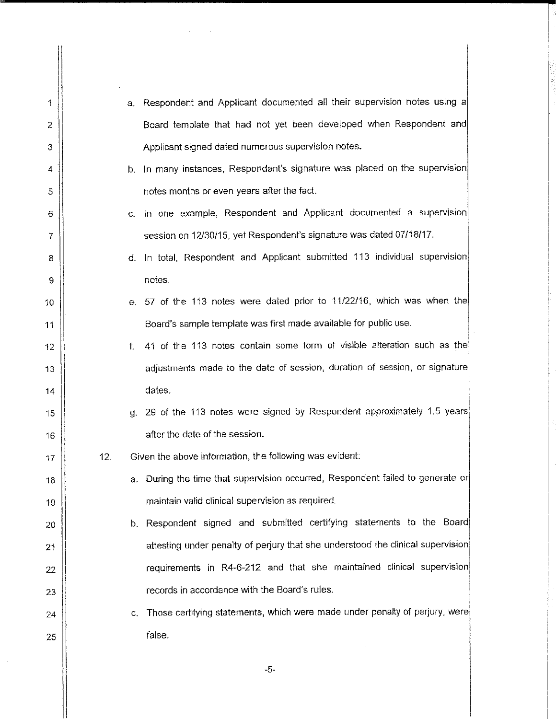| 1              |     | a. Respondent and Applicant documented all their supervision notes using a      |
|----------------|-----|---------------------------------------------------------------------------------|
| 2              |     | Board template that had not yet been developed when Respondent and              |
| 3              |     | Applicant signed dated numerous supervision notes.                              |
| 4              |     | b. In many instances, Respondent's signature was placed on the supervision      |
| 5              |     | notes months or even years after the fact.                                      |
| 6              | C.  | In one example, Respondent and Applicant documented a supervision               |
| $\overline{7}$ |     | session on 12/30/15, yet Respondent's signature was dated 07/18/17.             |
| 8              | d.  | In total, Respondent and Applicant submitted 113 individual supervision         |
| 9              |     | notes.                                                                          |
| 10             |     | e. 57 of the 113 notes were dated prior to 11/22/16, which was when the         |
| 11             |     | Board's sample template was first made available for public use.                |
| 12             | f.  | 41 of the 113 notes contain some form of visible alteration such as the         |
| 13             |     | adjustments made to the date of session, duration of session, or signature      |
| 14             |     | dates.                                                                          |
| 15             |     | g. 29 of the 113 notes were signed by Respondent approximately 1.5 years        |
| 16             |     | after the date of the session.                                                  |
| 17             | 12. | Given the above information, the following was evident:                         |
| 18             |     | a. During the time that supervision occurred, Respondent failed to generate or  |
| 19             |     | maintain valid clinical supervision as required.                                |
| 20             |     | b. Respondent signed and submitted certifying statements to the Board           |
| 21             |     | attesting under penalty of perjury that she understood the clinical supervision |
| 22             |     | requirements in R4-6-212 and that she maintained clinical supervision           |
| 23             |     | records in accordance with the Board's rules.                                   |
| 24             | c.  | Those certifying statements, which were made under penalty of perjury, were     |
| 25             |     | false.                                                                          |
|                |     |                                                                                 |

 $-5-$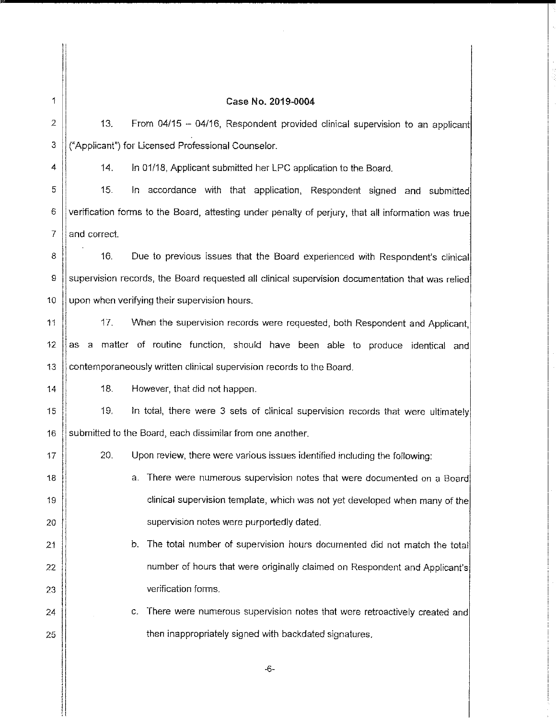1

#### Case No. 2019-0004

 $\overline{2}$  $13.$ From 04/15 - 04/16, Respondent provided clinical supervision to an applicant ("Applicant") for Licensed Professional Counselor. 3

 $\overline{4}$ 

 $14$ 

 $17$ 

18

19

20

 $21$ 

22

23

24

25

 $14.$ 

In 01/18, Applicant submitted her LPC application to the Board.

15. In accordance with that application, Respondent signed and submitted 5 6 verification forms to the Board, attesting under penalty of perjury, that all information was true  $\overline{7}$ and correct.

8  $16.$ Due to previous issues that the Board experienced with Respondent's clinical supervision records, the Board requested all clinical supervision documentation that was relied 9  $10$ upon when verifying their supervision hours.

 $17.$ 11 When the supervision records were requested, both Respondent and Applicant.  $12<sub>2</sub>$ as a matter of routine function, should have been able to produce identical and contemporaneously written clinical supervision records to the Board. 13

 $18.$ However, that did not happen.

In total, there were 3 sets of clinical supervision records that were ultimately 19. 15 submitted to the Board, each dissimilar from one another. 16

20. Upon review, there were various issues identified including the following:

a. There were numerous supervision notes that were documented on a Board clinical supervision template, which was not yet developed when many of the supervision notes were purportedly dated.

- b. The total number of supervision hours documented did not match the total number of hours that were originally claimed on Respondent and Applicant's verification forms.
	- c. There were numerous supervision notes that were retroactively created and then inappropriately signed with backdated signatures.

-6-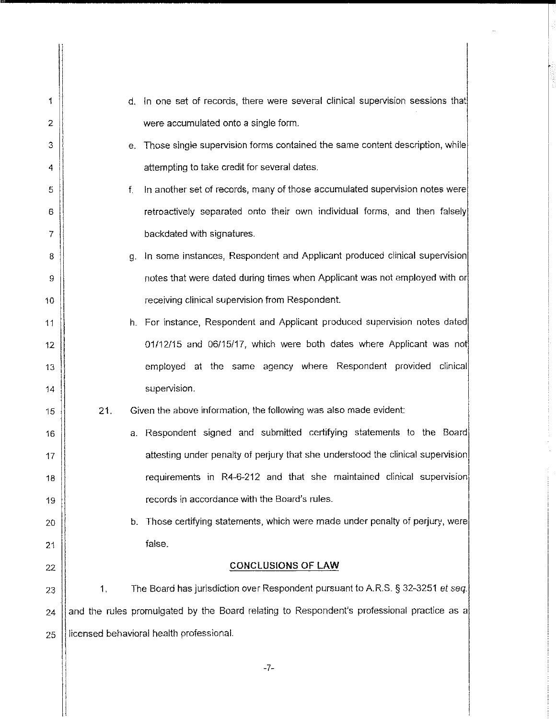| 1  |     | d. In one set of records, there were several clinical supervision sessions that            |
|----|-----|--------------------------------------------------------------------------------------------|
| 2  |     | were accumulated onto a single form.                                                       |
| 3  |     | Those single supervision forms contained the same content description, while<br>е.         |
| 4  |     | attempting to take credit for several dates.                                               |
| 5  |     | In another set of records, many of those accumulated supervision notes were<br>f.          |
| 6  |     | retroactively separated onto their own individual forms, and then falsely                  |
| 7  |     | backdated with signatures.                                                                 |
| 8  |     | In some instances, Respondent and Applicant produced clinical supervision<br>g.            |
| 9  |     | notes that were dated during times when Applicant was not employed with or                 |
| 10 |     | receiving clinical supervision from Respondent.                                            |
| 11 |     | h. For instance, Respondent and Applicant produced supervision notes dated                 |
| 12 |     | 01/12/15 and 06/15/17, which were both dates where Applicant was not                       |
| 13 |     | employed at the same agency where Respondent provided<br>clinical                          |
| 14 |     | supervision.                                                                               |
| 15 | 21. | Given the above information, the following was also made evident:                          |
| 16 |     | Respondent signed and submitted certifying statements to the Board<br>а.                   |
| 17 |     | attesting under penalty of perjury that she understood the clinical supervision            |
| 18 |     | requirements in R4-6-212 and that she maintained clinical supervision                      |
| 19 |     | records in accordance with the Board's rules.                                              |
| 20 |     | Those certifying statements, which were made under penalty of perjury, were<br>b.          |
| 21 |     | false.                                                                                     |
| 22 |     | <b>CONCLUSIONS OF LAW</b>                                                                  |
| 23 | 1.  | The Board has jurisdiction over Respondent pursuant to A.R.S. § 32-3251 et seq.            |
| 24 |     | and the rules promulgated by the Board relating to Respondent's professional practice as a |
| 25 |     | licensed behavioral health professional.                                                   |
|    |     |                                                                                            |

 $-7-$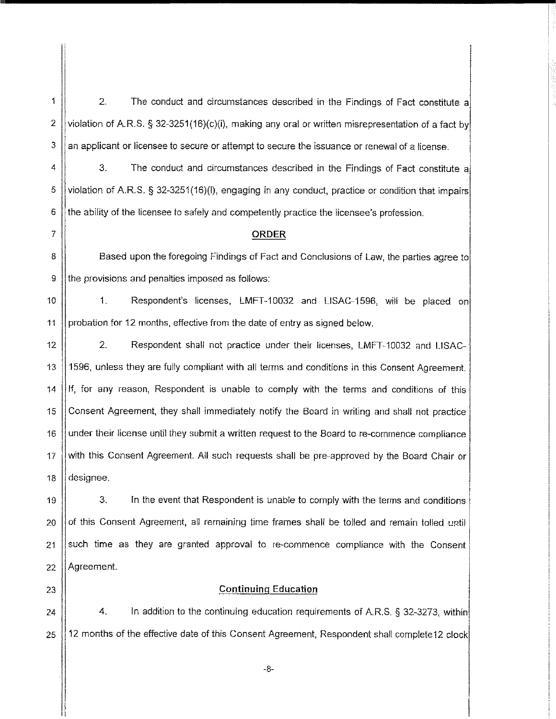$2.$ The conduct and circumstances described in the Findings of Fact constitute a 2 violation of A.R.S. § 32-3251(16)(c)(i), making any oral or written misrepresentation of a fact by 3 an applicant or licensee to secure or attempt to secure the issuance or renewal of a license.

4 3. The conduct and circumstances described in the Findings of Fact constitute a violation of A.R.S. § 32-3251(16)(I), engaging in any conduct, practice or condition that impairs 5 6 the ability of the licensee to safely and competently practice the licensee's profession.

#### **ORDER**

8 Based upon the foregoing Findings of Fact and Conclusions of Law, the parties agree to the provisions and penalties imposed as follows: 9

 $10$  $\mathbf{1}$ . Respondent's licenses, LMFT-10032 and LISAC-1596, will be placed on probation for 12 months, effective from the date of entry as signed below. 11

12  $\overline{2}$ Respondent shall not practice under their licenses, LMFT-10032 and LISAC-1596, unless they are fully compliant with all terms and conditions in this Consent Agreement. 13  $14$ If, for any reason, Respondent is unable to comply with the terms and conditions of this  $15$ Consent Agreement, they shall immediately notify the Board in writing and shall not practice 16 under their license until they submit a written request to the Board to re-commence compliance with this Consent Agreement. All such requests shall be pre-approved by the Board Chair or  $17$ designee. 18

3. 19 In the event that Respondent is unable to comply with the terms and conditions of this Consent Agreement, all remaining time frames shall be tolled and remain tolled until 20 such time as they are granted approval to re-commence compliance with the Consent 21 Agreement. 22

23

1

 $\overline{7}$ 

### **Continuing Education**

4. In addition to the continuing education requirements of A.R.S. § 32-3273, within 24 25 12 months of the effective date of this Consent Agreement, Respondent shall complete12 clock

 $-8-$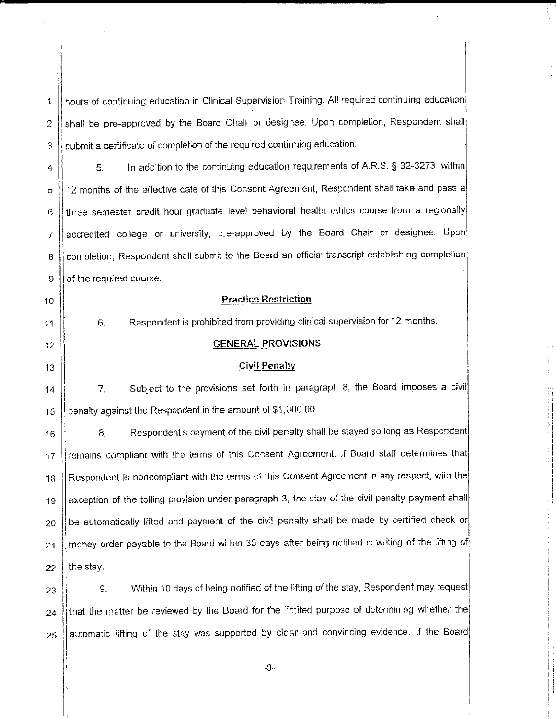hours of continuing education in Clinical Supervision Training. All required continuing education shall be pre-approved by the Board Chair or designee. Upon completion, Respondent shall  $\overline{2}$ submit a certificate of completion of the required continuing education. 3

In addition to the continuing education requirements of A.R.S. § 32-3273, within 5. 4 12 months of the effective date of this Consent Agreement, Respondent shall take and pass a 5 three semester credit hour graduate level behavioral health ethics course from a regionally 6 accredited college or university, pre-approved by the Board Chair or designee. Upon  $\overline{7}$ completion, Respondent shall submit to the Board an official transcript establishing completion 8 of the required course. 9

**Practice Restriction** 

**GENERAL PROVISIONS** 

**Civil Penalty** 

Respondent is prohibited from providing clinical supervision for 12 months.

10

 $11$ 

 $\ddot{\mathbf{1}}$ 

6.

 $12$ 13

14

15

Subject to the provisions set forth in paragraph 8, the Board imposes a civil 7.

penalty against the Respondent in the amount of \$1,000.00.

Respondent's payment of the civil penalty shall be stayed so long as Respondent 8. 16 remains compliant with the terms of this Consent Agreement. If Board staff determines that  $17$ Respondent is noncompliant with the terms of this Consent Agreement in any respect, with the 18 exception of the tolling provision under paragraph 3, the stay of the civil penalty payment shall 19 be automatically lifted and payment of the civil penalty shall be made by certified check or 20 money order payable to the Board within 30 days after being notified in writing of the lifting of 21 the stay. 22

Within 10 days of being notified of the lifting of the stay, Respondent may request 9. 23 that the matter be reviewed by the Board for the limited purpose of determining whether the 24 automatic lifting of the stay was supported by clear and convincing evidence. If the Board 25

 $-Q$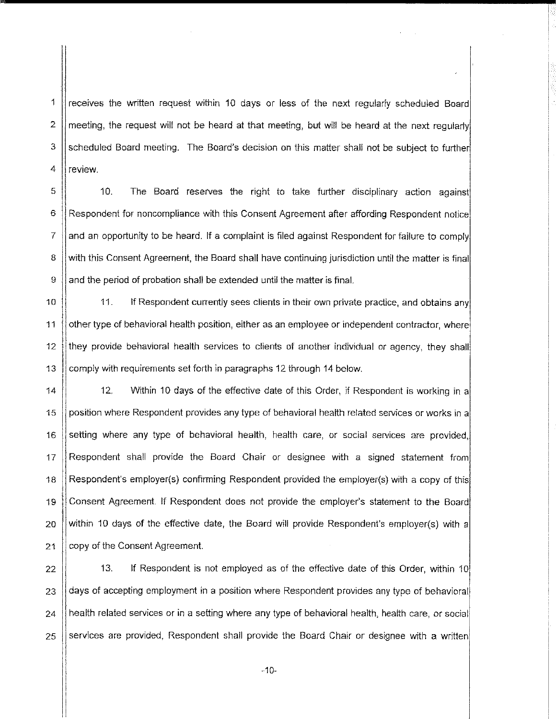receives the written request within 10 days or less of the next regularly scheduled Board meeting, the request will not be heard at that meeting, but will be heard at the next requiarly scheduled Board meeting. The Board's decision on this matter shall not be subject to further review.

1

 $\overline{2}$ 

3

4

5  $10.$ The Board reserves the right to take further disciplinary action against 6 Respondent for noncompliance with this Consent Agreement after affording Respondent notice  $\overline{7}$ and an opportunity to be heard. If a complaint is filed against Respondent for failure to comply 8 with this Consent Agreement, the Board shall have continuing jurisdiction until the matter is final 9 and the period of probation shall be extended until the matter is final.

10  $11<sub>1</sub>$ If Respondent currently sees clients in their own private practice, and obtains any  $11$ other type of behavioral health position, either as an employee or independent contractor, where they provide behavioral health services to clients of another individual or agency, they shall  $12$ comply with requirements set forth in paragraphs 12 through 14 below.  $13$ 

 $12.$ Within 10 days of the effective date of this Order, if Respondent is working in a  $\overline{14}$ position where Respondent provides any type of behavioral health related services or works in a 15 setting where any type of behavioral health, health care, or social services are provided,  $16<sub>1</sub>$ 17 Respondent shall provide the Board Chair or designee with a signed statement from Respondent's employer(s) confirming Respondent provided the employer(s) with a copy of this 18 Consent Agreement. If Respondent does not provide the employer's statement to the Board 19 within 10 days of the effective date, the Board will provide Respondent's employer(s) with a 20 copy of the Consent Agreement. 21

22  $13.$ If Respondent is not employed as of the effective date of this Order, within 10 days of accepting employment in a position where Respondent provides any type of behavioral 23 24 health related services or in a setting where any type of behavioral health, health care, or social services are provided. Respondent shall provide the Board Chair or designee with a written 25

 $-10-$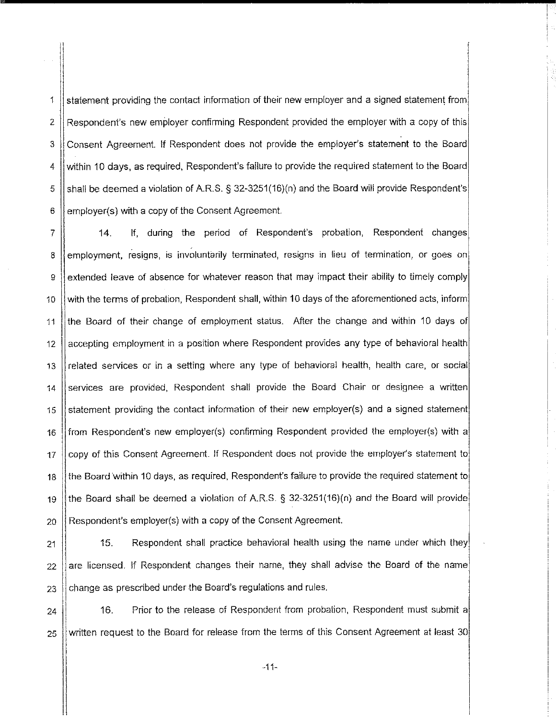statement providing the contact information of their new employer and a signed statement from  $\ddagger$ Respondent's new employer confirming Respondent provided the employer with a copy of this  $\overline{2}$ Consent Agreement. If Respondent does not provide the employer's statement to the Board 3 within 10 days, as required. Respondent's failure to provide the required statement to the Board 4 shall be deemed a violation of A.R.S. § 32-3251(16)(n) and the Board will provide Respondent's 5 employer(s) with a copy of the Consent Agreement. 6

If, during the period of Respondent's probation, Respondent changes 7  $14.$ employment, resigns, is involuntarily terminated, resigns in lieu of termination, or goes on 8 extended leave of absence for whatever reason that may impact their ability to timely comply 9 with the terms of probation, Respondent shall, within 10 days of the aforementioned acts, inform 10 the Board of their change of employment status. After the change and within 10 days of 11 accepting employment in a position where Respondent provides any type of behavioral health  $12$ related services or in a setting where any type of behavioral health, health care, or social 13 services are provided, Respondent shall provide the Board Chair or designee a written 14 statement providing the contact information of their new employer(s) and a signed statement 15 from Respondent's new employer(s) confirming Respondent provided the employer(s) with a 16 copy of this Consent Agreement. If Respondent does not provide the employer's statement to  $17$ the Board within 10 days, as required, Respondent's failure to provide the required statement to 18 the Board shall be deemed a violation of A.R.S. § 32-3251(16)(n) and the Board will provide 19 Respondent's employer(s) with a copy of the Consent Agreement. 20

 $15.$ Respondent shall practice behavioral health using the name under which they 21 are licensed. If Respondent changes their name, they shall advise the Board of the name  $22$ change as prescribed under the Board's regulations and rules. 23

 $16.$ Prior to the release of Respondent from probation, Respondent must submit a 24 written request to the Board for release from the terms of this Consent Agreement at least 30 25

 $-11-$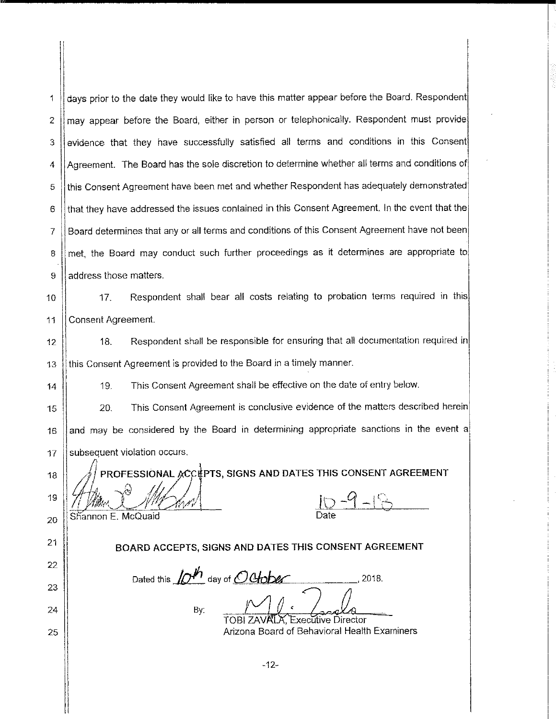days prior to the date they would like to have this matter appear before the Board. Respondent 1 may appear before the Board, either in person or telephonically. Respondent must provide  $\overline{2}$ evidence that they have successfully satisfied all terms and conditions in this Consent 3 Agreement. The Board has the sole discretion to determine whether all terms and conditions of 4 this Consent Agreement have been met and whether Respondent has adequately demonstrated 5 that they have addressed the issues contained in this Consent Agreement. In the event that the 6 Board determines that any or all terms and conditions of this Consent Agreement have not been 7 met, the Board may conduct such further proceedings as it determines are appropriate to 8 address those matters. 9

Respondent shall bear all costs relating to probation terms required in this  $17.$  $10<sup>10</sup>$ Consent Agreement. 11

 $18.$ Respondent shall be responsible for ensuring that all documentation required in  $12<sup>12</sup>$ this Consent Agreement is provided to the Board in a timely manner.  $13$ 

> This Consent Agreement shall be effective on the date of entry below. 19.

This Consent Agreement is conclusive evidence of the matters described herein 20. 15 and may be considered by the Board in determining appropriate sanctions in the event a  $16$ subsequent violation occurs. 17

18

19 20

21

22

23

24

25

14

Shannon E. McQuaid

 $10 - 9 - 18$ 

BOARD ACCEPTS, SIGNS AND DATES THIS CONSENT AGREEMENT

PROFESSIONAL ACCEPTS, SIGNS AND DATES THIS CONSENT AGREEMENT

Dated this  $\mathcal{D}^h$  day of October  $.2018.$ By:

**TOBI ZAVALA, Executive Director** Arizona Board of Behavioral Health Examiners

 $-12-$